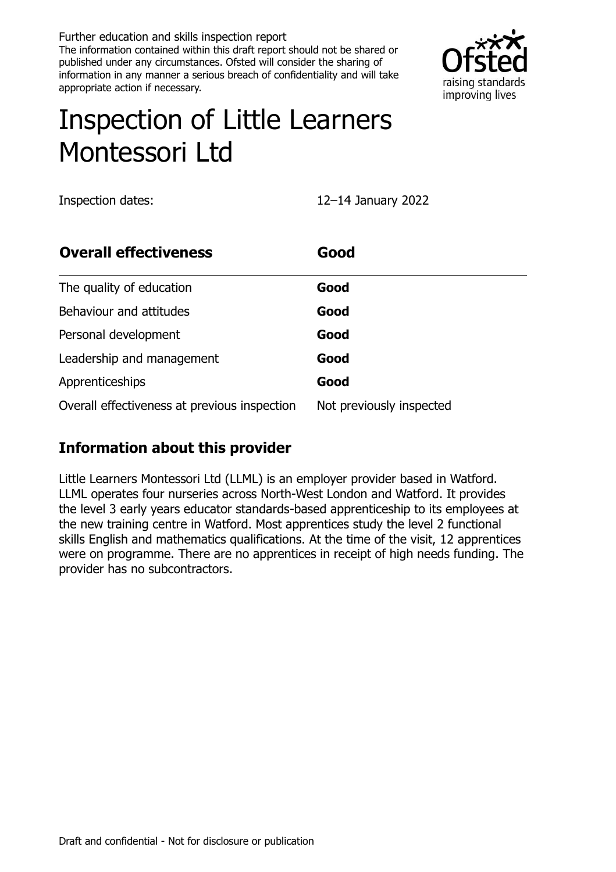Further education and skills inspection report The information contained within this draft report should not be shared or published under any circumstances. Ofsted will consider the sharing of information in any manner a serious breach of confidentiality and will take appropriate action if necessary.



# Inspection of Little Learners Montessori Ltd

Inspection dates: 12–14 January 2022

| <b>Overall effectiveness</b>                 | Good                     |
|----------------------------------------------|--------------------------|
| The quality of education                     | Good                     |
| Behaviour and attitudes                      | Good                     |
| Personal development                         | Good                     |
| Leadership and management                    | Good                     |
| Apprenticeships                              | Good                     |
| Overall effectiveness at previous inspection | Not previously inspected |

# **Information about this provider**

Little Learners Montessori Ltd (LLML) is an employer provider based in Watford. LLML operates four nurseries across North-West London and Watford. It provides the level 3 early years educator standards-based apprenticeship to its employees at the new training centre in Watford. Most apprentices study the level 2 functional skills English and mathematics qualifications. At the time of the visit, 12 apprentices were on programme. There are no apprentices in receipt of high needs funding. The provider has no subcontractors.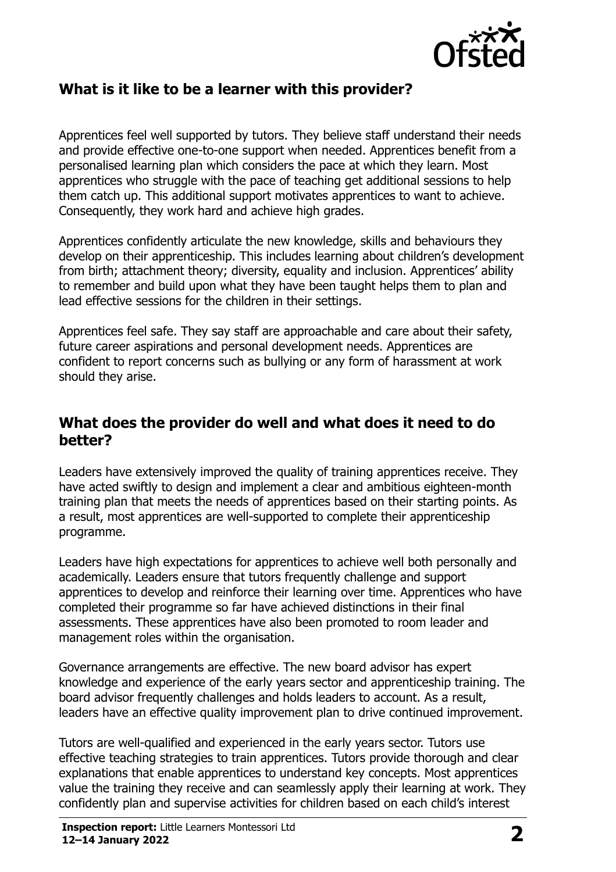

#### **What is it like to be a learner with this provider?**

Apprentices feel well supported by tutors. They believe staff understand their needs and provide effective one-to-one support when needed. Apprentices benefit from a personalised learning plan which considers the pace at which they learn. Most apprentices who struggle with the pace of teaching get additional sessions to help them catch up. This additional support motivates apprentices to want to achieve. Consequently, they work hard and achieve high grades.

Apprentices confidently articulate the new knowledge, skills and behaviours they develop on their apprenticeship. This includes learning about children's development from birth; attachment theory; diversity, equality and inclusion. Apprentices' ability to remember and build upon what they have been taught helps them to plan and lead effective sessions for the children in their settings.

Apprentices feel safe. They say staff are approachable and care about their safety, future career aspirations and personal development needs. Apprentices are confident to report concerns such as bullying or any form of harassment at work should they arise.

#### **What does the provider do well and what does it need to do better?**

Leaders have extensively improved the quality of training apprentices receive. They have acted swiftly to design and implement a clear and ambitious eighteen-month training plan that meets the needs of apprentices based on their starting points. As a result, most apprentices are well-supported to complete their apprenticeship programme.

Leaders have high expectations for apprentices to achieve well both personally and academically. Leaders ensure that tutors frequently challenge and support apprentices to develop and reinforce their learning over time. Apprentices who have completed their programme so far have achieved distinctions in their final assessments. These apprentices have also been promoted to room leader and management roles within the organisation.

Governance arrangements are effective. The new board advisor has expert knowledge and experience of the early years sector and apprenticeship training. The board advisor frequently challenges and holds leaders to account. As a result, leaders have an effective quality improvement plan to drive continued improvement.

Tutors are well-qualified and experienced in the early years sector. Tutors use effective teaching strategies to train apprentices. Tutors provide thorough and clear explanations that enable apprentices to understand key concepts. Most apprentices value the training they receive and can seamlessly apply their learning at work. They confidently plan and supervise activities for children based on each child's interest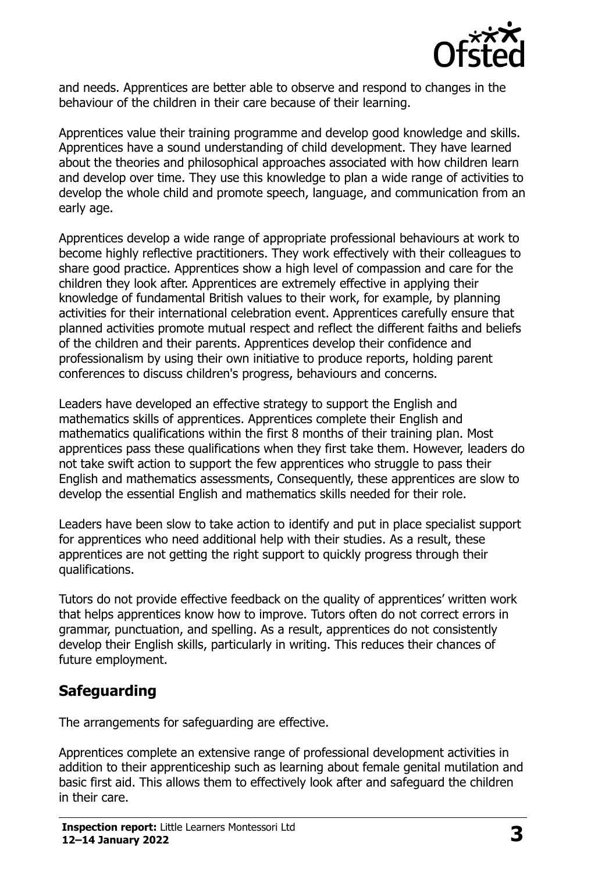

and needs. Apprentices are better able to observe and respond to changes in the behaviour of the children in their care because of their learning.

Apprentices value their training programme and develop good knowledge and skills. Apprentices have a sound understanding of child development. They have learned about the theories and philosophical approaches associated with how children learn and develop over time. They use this knowledge to plan a wide range of activities to develop the whole child and promote speech, language, and communication from an early age.

Apprentices develop a wide range of appropriate professional behaviours at work to become highly reflective practitioners. They work effectively with their colleagues to share good practice. Apprentices show a high level of compassion and care for the children they look after. Apprentices are extremely effective in applying their knowledge of fundamental British values to their work, for example, by planning activities for their international celebration event. Apprentices carefully ensure that planned activities promote mutual respect and reflect the different faiths and beliefs of the children and their parents. Apprentices develop their confidence and professionalism by using their own initiative to produce reports, holding parent conferences to discuss children's progress, behaviours and concerns.

Leaders have developed an effective strategy to support the English and mathematics skills of apprentices. Apprentices complete their English and mathematics qualifications within the first 8 months of their training plan. Most apprentices pass these qualifications when they first take them. However, leaders do not take swift action to support the few apprentices who struggle to pass their English and mathematics assessments, Consequently, these apprentices are slow to develop the essential English and mathematics skills needed for their role.

Leaders have been slow to take action to identify and put in place specialist support for apprentices who need additional help with their studies. As a result, these apprentices are not getting the right support to quickly progress through their qualifications.

Tutors do not provide effective feedback on the quality of apprentices' written work that helps apprentices know how to improve. Tutors often do not correct errors in grammar, punctuation, and spelling. As a result, apprentices do not consistently develop their English skills, particularly in writing. This reduces their chances of future employment.

# **Safeguarding**

The arrangements for safeguarding are effective.

Apprentices complete an extensive range of professional development activities in addition to their apprenticeship such as learning about female genital mutilation and basic first aid. This allows them to effectively look after and safeguard the children in their care.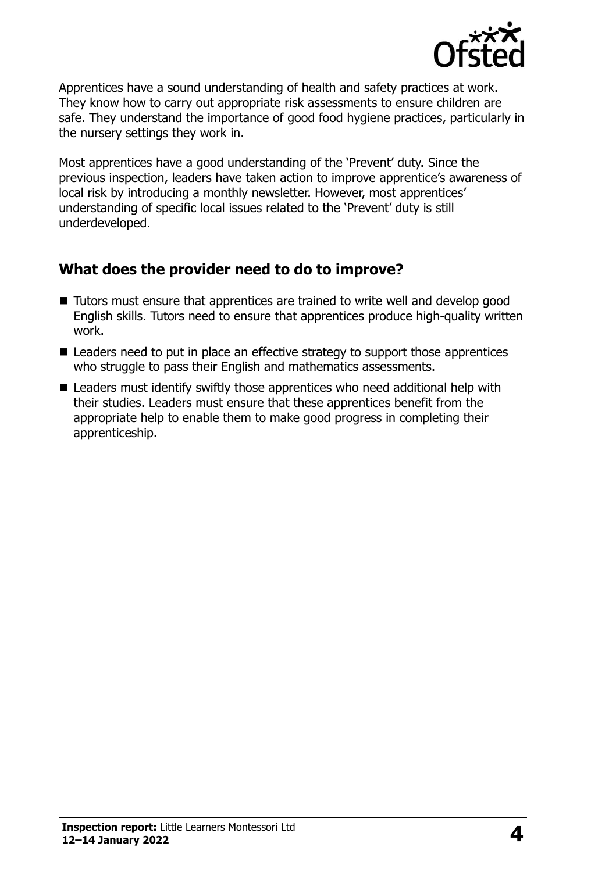

Apprentices have a sound understanding of health and safety practices at work. They know how to carry out appropriate risk assessments to ensure children are safe. They understand the importance of good food hygiene practices, particularly in the nursery settings they work in.

Most apprentices have a good understanding of the 'Prevent' duty. Since the previous inspection, leaders have taken action to improve apprentice's awareness of local risk by introducing a monthly newsletter. However, most apprentices' understanding of specific local issues related to the 'Prevent' duty is still underdeveloped.

#### **What does the provider need to do to improve?**

- Tutors must ensure that apprentices are trained to write well and develop good English skills. Tutors need to ensure that apprentices produce high-quality written work.
- Leaders need to put in place an effective strategy to support those apprentices who struggle to pass their English and mathematics assessments.
- Leaders must identify swiftly those apprentices who need additional help with their studies. Leaders must ensure that these apprentices benefit from the appropriate help to enable them to make good progress in completing their apprenticeship.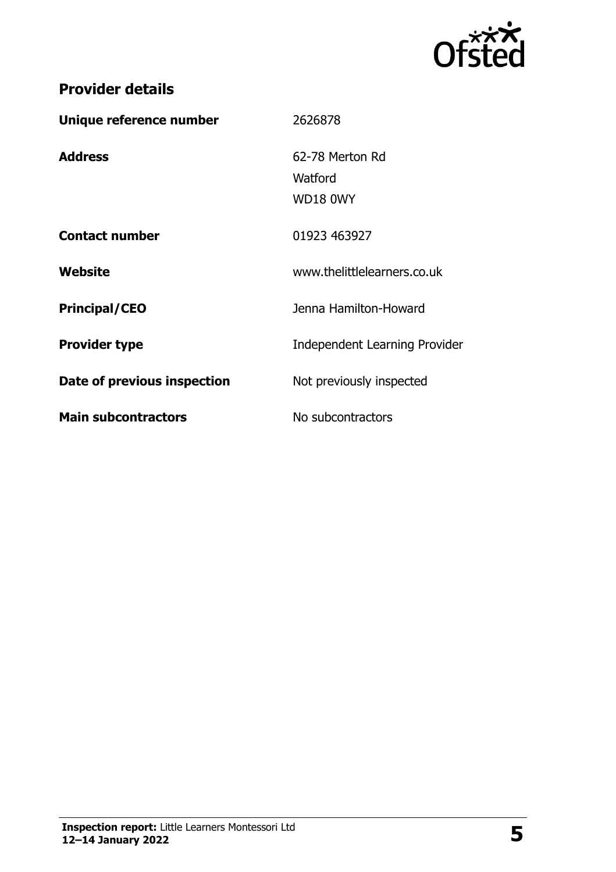

# **Provider details**

| Unique reference number     | 2626878                                |
|-----------------------------|----------------------------------------|
| <b>Address</b>              | 62-78 Merton Rd<br>Watford<br>WD18 0WY |
| <b>Contact number</b>       | 01923 463927                           |
| Website                     | www.thelittlelearners.co.uk            |
| <b>Principal/CEO</b>        | Jenna Hamilton-Howard                  |
| <b>Provider type</b>        | Independent Learning Provider          |
| Date of previous inspection | Not previously inspected               |
| <b>Main subcontractors</b>  | No subcontractors                      |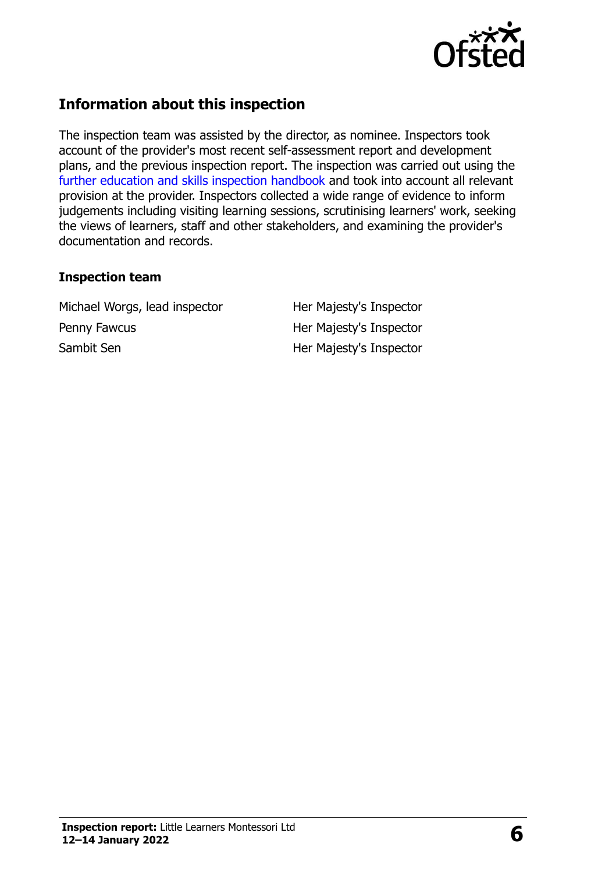

# **Information about this inspection**

The inspection team was assisted by the director, as nominee. Inspectors took account of the provider's most recent self-assessment report and development plans, and the previous inspection report. The inspection was carried out using the [further education and skills inspection handbook](http://www.gov.uk/government/publications/further-education-and-skills-inspection-handbook-eif) and took into account all relevant provision at the provider. Inspectors collected a wide range of evidence to inform judgements including visiting learning sessions, scrutinising learners' work, seeking the views of learners, staff and other stakeholders, and examining the provider's documentation and records.

#### **Inspection team**

Michael Worgs, lead inspector Her Majesty's Inspector Penny Fawcus **Her Majesty's Inspector** Sambit Sen Her Majesty's Inspector